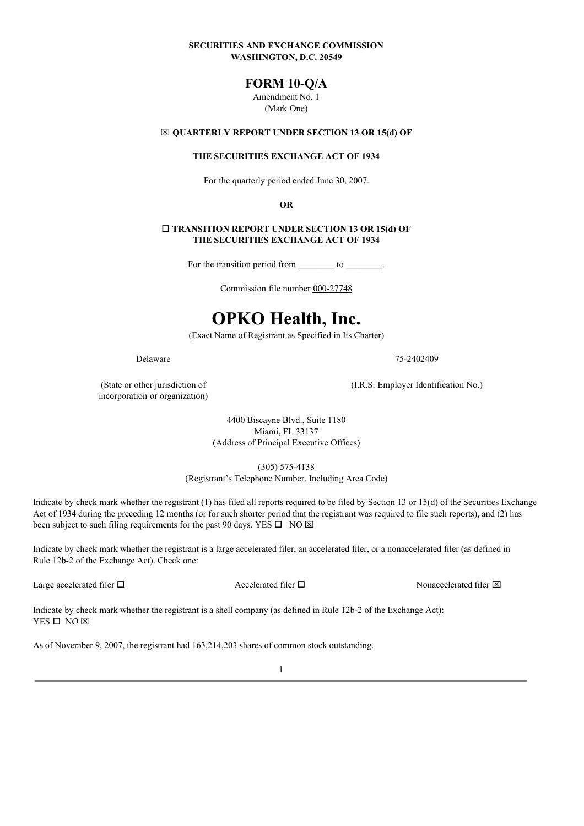## **SECURITIES AND EXCHANGE COMMISSION WASHINGTON, D.C. 20549**

# **FORM 10-Q/A**

Amendment No. 1 (Mark One)

### x **QUARTERLY REPORT UNDER SECTION 13 OR 15(d) OF**

# **THE SECURITIES EXCHANGE ACT OF 1934**

For the quarterly period ended June 30, 2007.

**OR**

### o **TRANSITION REPORT UNDER SECTION 13 OR 15(d) OF THE SECURITIES EXCHANGE ACT OF 1934**

For the transition period from to to  $\blacksquare$ 

Commission file number 000-27748

# **OPKO Health, Inc.**

(Exact Name of Registrant as Specified in Its Charter)

Delaware 75-2402409

(State or other jurisdiction of incorporation or organization) (I.R.S. Employer Identification No.)

4400 Biscayne Blvd., Suite 1180 Miami, FL 33137 (Address of Principal Executive Offices)

(305) 575-4138

(Registrant's Telephone Number, Including Area Code)

Indicate by check mark whether the registrant (1) has filed all reports required to be filed by Section 13 or 15(d) of the Securities Exchange Act of 1934 during the preceding 12 months (or for such shorter period that the registrant was required to file such reports), and (2) has been subject to such filing requirements for the past 90 days. YES  $\square$  NO  $\square$ 

Indicate by check mark whether the registrant is a large accelerated filer, an accelerated filer, or a nonaccelerated filer (as defined in Rule 12b-2 of the Exchange Act). Check one:

Large accelerated filer  $\Box$  Accelerated filer  $\Box$  Nonaccelerated filer  $\boxtimes$ 

Indicate by check mark whether the registrant is a shell company (as defined in Rule 12b-2 of the Exchange Act): YES  $\square$  NO  $\square$ 

As of November 9, 2007, the registrant had 163,214,203 shares of common stock outstanding.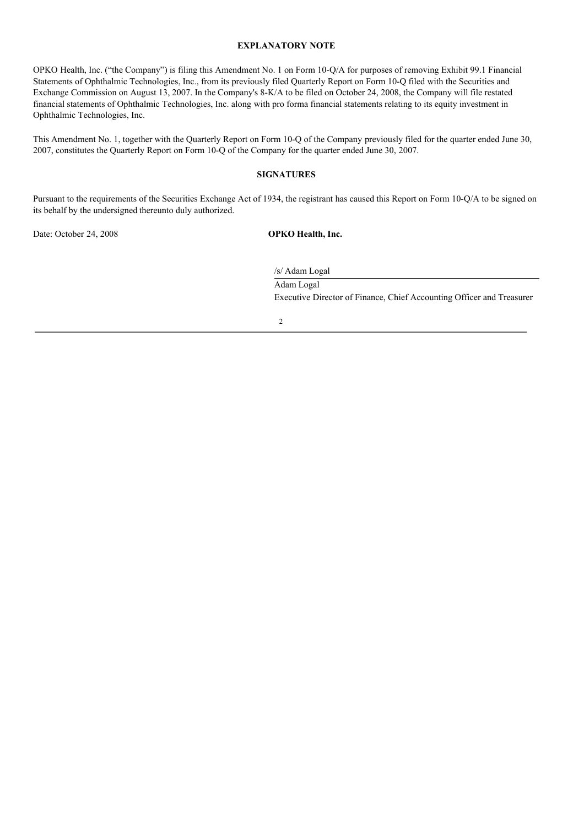# **EXPLANATORY NOTE**

OPKO Health, Inc. ("the Company") is filing this Amendment No. 1 on Form 10-Q/A for purposes of removing Exhibit 99.1 Financial Statements of Ophthalmic Technologies, Inc., from its previously filed Quarterly Report on Form 10-Q filed with the Securities and Exchange Commission on August 13, 2007. In the Company's 8-K/A to be filed on October 24, 2008, the Company will file restated financial statements of Ophthalmic Technologies, Inc. along with pro forma financial statements relating to its equity investment in Ophthalmic Technologies, Inc.

This Amendment No. 1, together with the Quarterly Report on Form 10-Q of the Company previously filed for the quarter ended June 30, 2007, constitutes the Quarterly Report on Form 10-Q of the Company for the quarter ended June 30, 2007.

### **SIGNATURES**

Pursuant to the requirements of the Securities Exchange Act of 1934, the registrant has caused this Report on Form 10-Q/A to be signed on its behalf by the undersigned thereunto duly authorized.

Date: October 24, 2008 **OPKO Health, Inc.** 

/s/ Adam Logal Adam Logal Executive Director of Finance, Chief Accounting Officer and Treasurer

2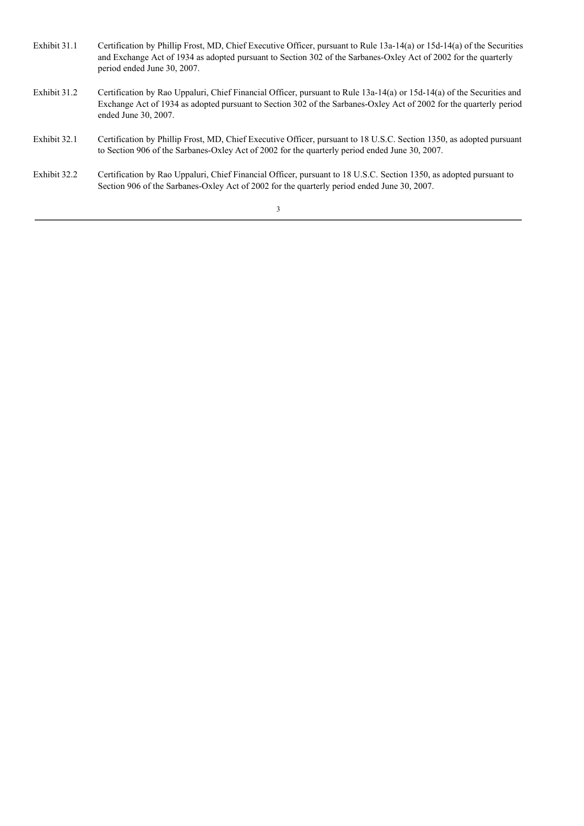- Exhibit 31.1 Certification by Phillip Frost, MD, Chief Executive Officer, pursuant to Rule 13a-14(a) or 15d-14(a) of the Securities and Exchange Act of 1934 as adopted pursuant to Section 302 of the Sarbanes-Oxley Act of 2002 for the quarterly period ended June 30, 2007.
- Exhibit 31.2 Certification by Rao Uppaluri, Chief Financial Officer, pursuant to Rule 13a-14(a) or 15d-14(a) of the Securities and Exchange Act of 1934 as adopted pursuant to Section 302 of the Sarbanes-Oxley Act of 2002 for the quarterly period ended June 30, 2007.
- Exhibit 32.1 Certification by Phillip Frost, MD, Chief Executive Officer, pursuant to 18 U.S.C. Section 1350, as adopted pursuant to Section 906 of the Sarbanes-Oxley Act of 2002 for the quarterly period ended June 30, 2007.
- Exhibit 32.2 Certification by Rao Uppaluri, Chief Financial Officer, pursuant to 18 U.S.C. Section 1350, as adopted pursuant to Section 906 of the Sarbanes-Oxley Act of 2002 for the quarterly period ended June 30, 2007.

3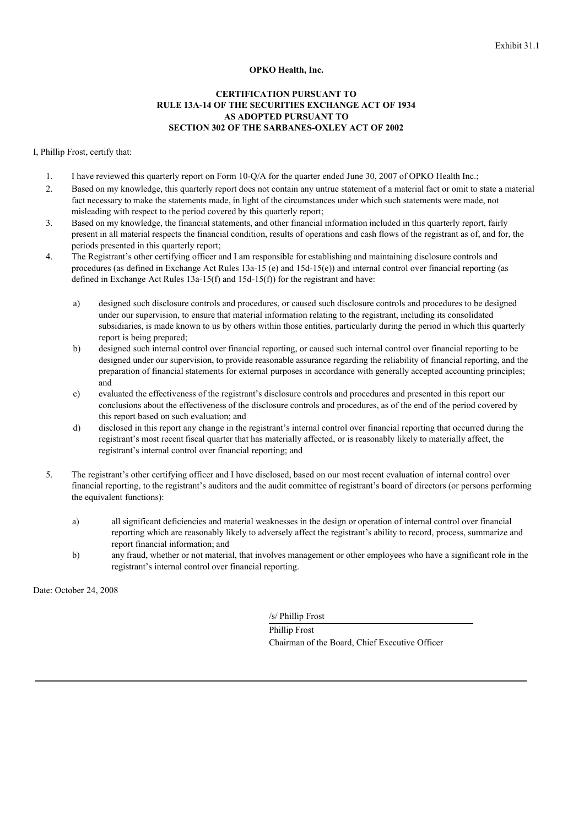# **OPKO Health, Inc.**

# **CERTIFICATION PURSUANT TO RULE 13A-14 OF THE SECURITIES EXCHANGE ACT OF 1934 AS ADOPTED PURSUANT TO SECTION 302 OF THE SARBANES-OXLEY ACT OF 2002**

I, Phillip Frost, certify that:

- 1. I have reviewed this quarterly report on Form 10-Q/A for the quarter ended June 30, 2007 of OPKO Health Inc.;
- 2. Based on my knowledge, this quarterly report does not contain any untrue statement of a material fact or omit to state a material fact necessary to make the statements made, in light of the circumstances under which such statements were made, not misleading with respect to the period covered by this quarterly report;
- 3. Based on my knowledge, the financial statements, and other financial information included in this quarterly report, fairly present in all material respects the financial condition, results of operations and cash flows of the registrant as of, and for, the periods presented in this quarterly report;
- 4. The Registrant's other certifying officer and I am responsible for establishing and maintaining disclosure controls and procedures (as defined in Exchange Act Rules 13a-15 (e) and 15d-15(e)) and internal control over financial reporting (as defined in Exchange Act Rules 13a-15(f) and 15d-15(f)) for the registrant and have:
	- a) designed such disclosure controls and procedures, or caused such disclosure controls and procedures to be designed under our supervision, to ensure that material information relating to the registrant, including its consolidated subsidiaries, is made known to us by others within those entities, particularly during the period in which this quarterly report is being prepared;
	- b) designed such internal control over financial reporting, or caused such internal control over financial reporting to be designed under our supervision, to provide reasonable assurance regarding the reliability of financial reporting, and the preparation of financial statements for external purposes in accordance with generally accepted accounting principles; and
	- c) evaluated the effectiveness of the registrant's disclosure controls and procedures and presented in this report our conclusions about the effectiveness of the disclosure controls and procedures, as of the end of the period covered by this report based on such evaluation; and
	- d) disclosed in this report any change in the registrant's internal control over financial reporting that occurred during the registrant's most recent fiscal quarter that has materially affected, or is reasonably likely to materially affect, the registrant's internal control over financial reporting; and
- 5. The registrant's other certifying officer and I have disclosed, based on our most recent evaluation of internal control over financial reporting, to the registrant's auditors and the audit committee of registrant's board of directors (or persons performing the equivalent functions):
	- a) all significant deficiencies and material weaknesses in the design or operation of internal control over financial reporting which are reasonably likely to adversely affect the registrant's ability to record, process, summarize and report financial information; and
	- b) any fraud, whether or not material, that involves management or other employees who have a significant role in the registrant's internal control over financial reporting.

Date: October 24, 2008

/s/ Phillip Frost Phillip Frost Chairman of the Board, Chief Executive Officer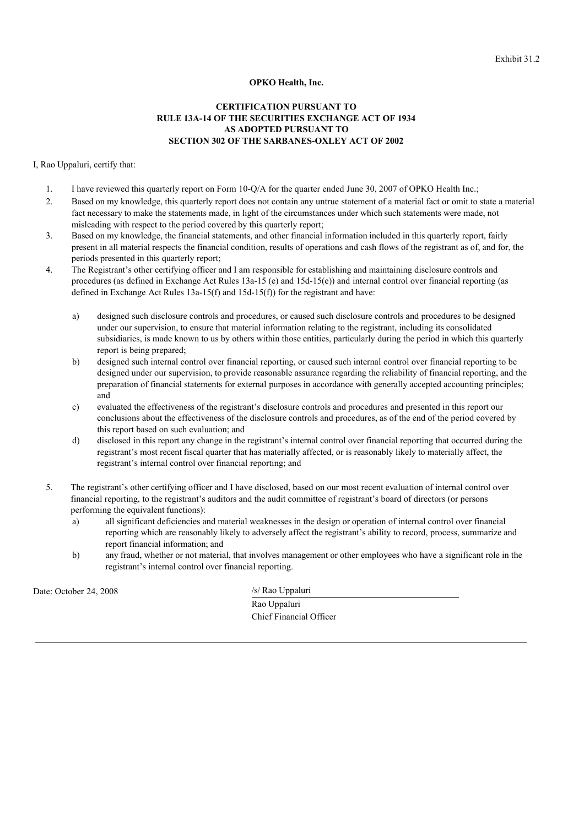## **OPKO Health, Inc.**

# **CERTIFICATION PURSUANT TO RULE 13A-14 OF THE SECURITIES EXCHANGE ACT OF 1934 AS ADOPTED PURSUANT TO SECTION 302 OF THE SARBANES-OXLEY ACT OF 2002**

### I, Rao Uppaluri, certify that:

- 1. I have reviewed this quarterly report on Form 10-Q/A for the quarter ended June 30, 2007 of OPKO Health Inc.;
- 2. Based on my knowledge, this quarterly report does not contain any untrue statement of a material fact or omit to state a material fact necessary to make the statements made, in light of the circumstances under which such statements were made, not misleading with respect to the period covered by this quarterly report;
- 3. Based on my knowledge, the financial statements, and other financial information included in this quarterly report, fairly present in all material respects the financial condition, results of operations and cash flows of the registrant as of, and for, the periods presented in this quarterly report;
- 4. The Registrant's other certifying officer and I am responsible for establishing and maintaining disclosure controls and procedures (as defined in Exchange Act Rules 13a-15 (e) and 15d-15(e)) and internal control over financial reporting (as defined in Exchange Act Rules 13a-15(f) and 15d-15(f)) for the registrant and have:
	- a) designed such disclosure controls and procedures, or caused such disclosure controls and procedures to be designed under our supervision, to ensure that material information relating to the registrant, including its consolidated subsidiaries, is made known to us by others within those entities, particularly during the period in which this quarterly report is being prepared;
	- b) designed such internal control over financial reporting, or caused such internal control over financial reporting to be designed under our supervision, to provide reasonable assurance regarding the reliability of financial reporting, and the preparation of financial statements for external purposes in accordance with generally accepted accounting principles; and
	- c) evaluated the effectiveness of the registrant's disclosure controls and procedures and presented in this report our conclusions about the effectiveness of the disclosure controls and procedures, as of the end of the period covered by this report based on such evaluation; and
	- d) disclosed in this report any change in the registrant's internal control over financial reporting that occurred during the registrant's most recent fiscal quarter that has materially affected, or is reasonably likely to materially affect, the registrant's internal control over financial reporting; and
- 5. The registrant's other certifying officer and I have disclosed, based on our most recent evaluation of internal control over financial reporting, to the registrant's auditors and the audit committee of registrant's board of directors (or persons performing the equivalent functions):
	- a) all significant deficiencies and material weaknesses in the design or operation of internal control over financial reporting which are reasonably likely to adversely affect the registrant's ability to record, process, summarize and report financial information; and
	- b) any fraud, whether or not material, that involves management or other employees who have a significant role in the registrant's internal control over financial reporting.

Date: October 24, 2008 /s/ Rao Uppaluri

Rao Uppaluri Chief Financial Officer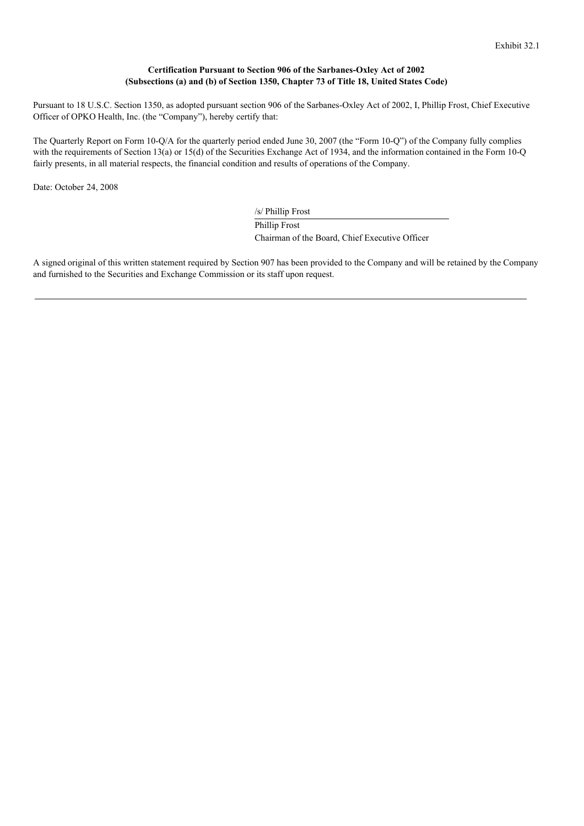# **Certification Pursuant to Section 906 of the Sarbanes-Oxley Act of 2002 (Subsections (a) and (b) of Section 1350, Chapter 73 of Title 18, United States Code)**

Pursuant to 18 U.S.C. Section 1350, as adopted pursuant section 906 of the Sarbanes-Oxley Act of 2002, I, Phillip Frost, Chief Executive Officer of OPKO Health, Inc. (the "Company"), hereby certify that:

The Quarterly Report on Form 10-Q/A for the quarterly period ended June 30, 2007 (the "Form 10-Q") of the Company fully complies with the requirements of Section 13(a) or 15(d) of the Securities Exchange Act of 1934, and the information contained in the Form 10-Q fairly presents, in all material respects, the financial condition and results of operations of the Company.

Date: October 24, 2008

/s/ Phillip Frost Phillip Frost Chairman of the Board, Chief Executive Officer

A signed original of this written statement required by Section 907 has been provided to the Company and will be retained by the Company and furnished to the Securities and Exchange Commission or its staff upon request.